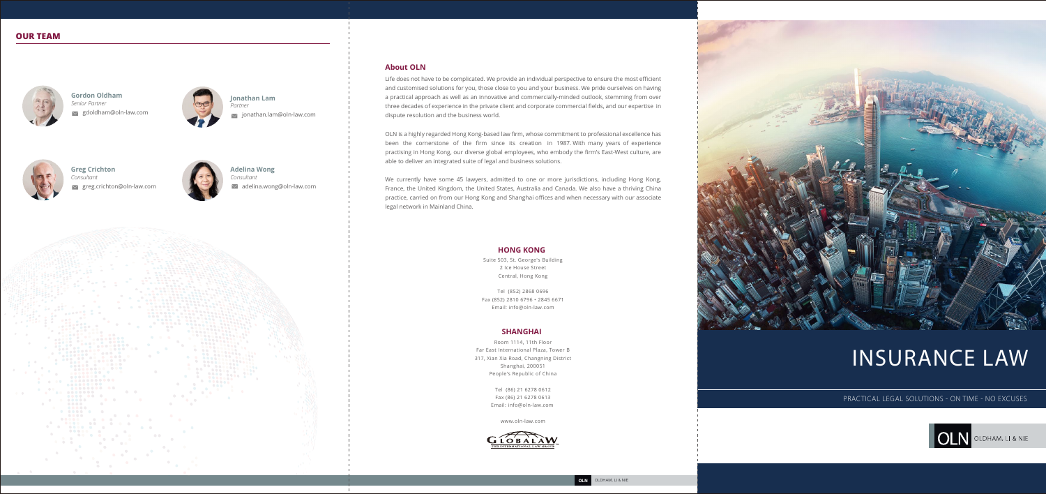# INSURANCE LAW

PRACTICAL LEGAL SOLUTIONS - ON TIME - NO EXCUSES



**Gordon Oldham** *Senior Partner*  gdoldham@oln-law.com



**Jonathan Lam**  *Partner*  $\vee$  jonathan.lam@oln-law.com



**Greg Crichton** *Consultant* greg.crichton@oln-law.com



**Adelina Wong**  *Consultant* adelina.wong@oln-law.com

# **OUR TEAM**



Room 1114, 11th Floor Far East International Plaza, Tower B 317, Xian Xia Road, Changning District Shanghai, 200051 People's Republic of China

> Tel (86) 21 6278 0612 Fax (86) 21 6278 0613 Email: info@oln-law.com

> > www.oln-law.com



#### **SHANGHAI**

Suite 503, St. George's Building 2 Ice House Street Central, Hong Kong

Tel (852) 2868 0696 Fax (852) 2810 6796 • 2845 6671 Email: info@oln-law.com

#### **HONG KONG**

# **About OLN**

Life does not have to be complicated. We provide an individual perspective to ensure the most efficient and customised solutions for you, those close to you and your business. We pride ourselves on having a practical approach as well as an innovative and commercially-minded outlook, stemming from over three decades of experience in the private client and corporate commercial fields, and our expertise in dispute resolution and the business world.

OLN is a highly regarded Hong Kong-based law firm, whose commitment to professional excellence has been the cornerstone of the firm since its creation in 1987. With many years of experience practising in Hong Kong, our diverse global employees, who embody the firm's East-West culture, are able to deliver an integrated suite of legal and business solutions.

We currently have some 45 lawyers, admitted to one or more jurisdictions, including Hong Kong, France, the United Kingdom, the United States, Australia and Canada. We also have a thriving China practice, carried on from our Hong Kong and Shanghai offices and when necessary with our associate legal network in Mainland China.